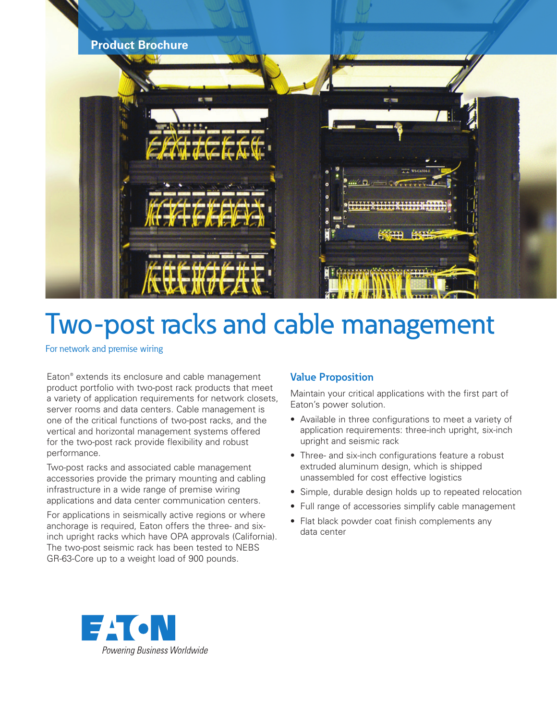

# Two-post racks and cable management

For network and premise wiring

Eaton® extends its enclosure and cable management product portfolio with two-post rack products that meet a variety of application requirements for network closets, server rooms and data centers. Cable management is one of the critical functions of two-post racks, and the vertical and horizontal management systems offered for the two-post rack provide flexibility and robust performance.

Two-post racks and associated cable management accessories provide the primary mounting and cabling infrastructure in a wide range of premise wiring applications and data center communication centers.

For applications in seismically active regions or where anchorage is required, Eaton offers the three- and sixinch upright racks which have OPA approvals (California). The two-post seismic rack has been tested to NEBS GR-63-Core up to a weight load of 900 pounds.

# **Value Proposition**

Maintain your critical applications with the first part of Eaton's power solution.

- Available in three configurations to meet a variety of application requirements: three-inch upright, six-inch upright and seismic rack
- Three- and six-inch configurations feature a robust extruded aluminum design, which is shipped unassembled for cost effective logistics
- Simple, durable design holds up to repeated relocation
- Full range of accessories simplify cable management
- Flat black powder coat finish complements any data center

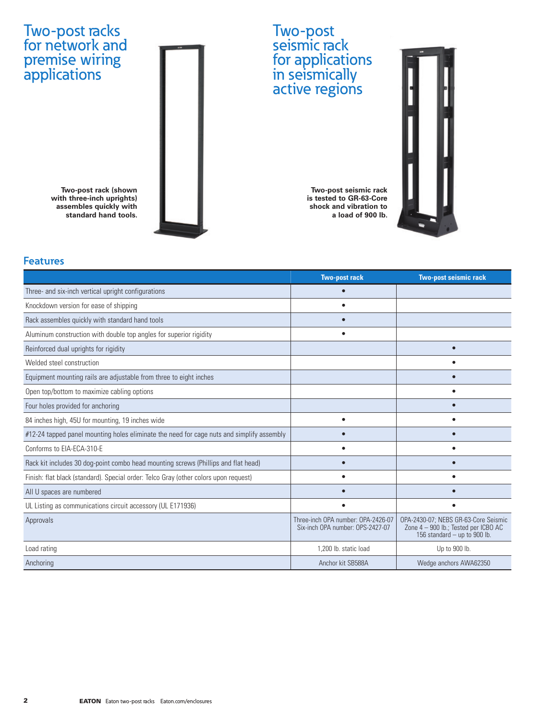# Two-post racks for network and premise wiring applications



**Two-post rack (shown with three-inch uprights) assembles quickly with standard hand tools.**

## **Two-post seismic rack is tested to GR-63-Core shock and vibration to a load of 900 lb.**



# **Features**

|                                                                                           | <b>Two-post rack</b>                                                   | <b>Two-post seismic rack</b>                                                                                 |
|-------------------------------------------------------------------------------------------|------------------------------------------------------------------------|--------------------------------------------------------------------------------------------------------------|
| Three- and six-inch vertical upright configurations                                       |                                                                        |                                                                                                              |
| Knockdown version for ease of shipping                                                    |                                                                        |                                                                                                              |
| Rack assembles quickly with standard hand tools                                           |                                                                        |                                                                                                              |
| Aluminum construction with double top angles for superior rigidity                        | $\bullet$                                                              |                                                                                                              |
| Reinforced dual uprights for rigidity                                                     |                                                                        |                                                                                                              |
| Welded steel construction                                                                 |                                                                        |                                                                                                              |
| Equipment mounting rails are adjustable from three to eight inches                        |                                                                        |                                                                                                              |
| Open top/bottom to maximize cabling options                                               |                                                                        | ٠                                                                                                            |
| Four holes provided for anchoring                                                         |                                                                        |                                                                                                              |
| 84 inches high, 45U for mounting, 19 inches wide                                          |                                                                        |                                                                                                              |
| #12-24 tapped panel mounting holes eliminate the need for cage nuts and simplify assembly |                                                                        |                                                                                                              |
| Conforms to EIA-ECA-310-E                                                                 |                                                                        |                                                                                                              |
| Rack kit includes 30 dog-point combo head mounting screws (Phillips and flat head)        |                                                                        |                                                                                                              |
| Finish: flat black (standard). Special order: Telco Gray (other colors upon request)      |                                                                        |                                                                                                              |
| All U spaces are numbered                                                                 |                                                                        |                                                                                                              |
| UL Listing as communications circuit accessory (UL E171936)                               | ٠                                                                      |                                                                                                              |
| Approvals                                                                                 | Three-inch OPA number: OPA-2426-07<br>Six-inch OPA number: OPS-2427-07 | OPA-2430-07; NEBS GR-63-Core Seismic<br>Zone 4 - 900 lb.; Tested per ICBO AC<br>156 standard - up to 900 lb. |
| Load rating                                                                               | 1,200 lb. static load                                                  | Up to 900 lb.                                                                                                |
| Anchoring                                                                                 | Anchor kit SB588A                                                      | Wedge anchors AWA62350                                                                                       |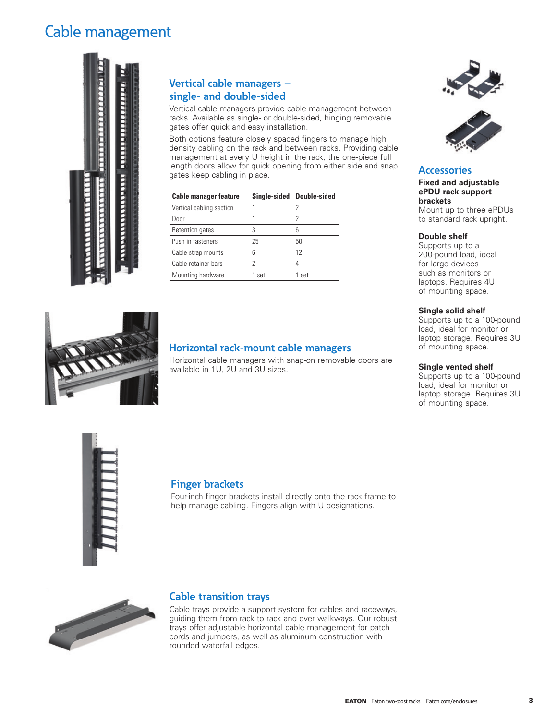# Cable management



# **Vertical cable managers – single- and double-sided**

Vertical cable managers provide cable management between racks. Available as single- or double-sided, hinging removable gates offer quick and easy installation.

Both options feature closely spaced fingers to manage high density cabling on the rack and between racks. Providing cable management at every U height in the rack, the one-piece full length doors allow for quick opening from either side and snap gates keep cabling in place.

| <b>Cable manager feature</b> |       | Single-sided Double-sided |
|------------------------------|-------|---------------------------|
| Vertical cabling section     |       |                           |
| Door                         |       | 2                         |
| Retention gates              |       |                           |
| Push in fasteners            | 25    | 50                        |
| Cable strap mounts           | հ     | 12                        |
| Cable retainer bars          |       | 4                         |
| Mounting hardware            | 1 set | 1 set                     |





# **Accessories**

**Fixed and adjustable ePDU rack support brackets** Mount up to three ePDUs to standard rack upright.

#### **Double shelf**

Supports up to a 200-pound load, ideal for large devices such as monitors or laptops. Requires 4U of mounting space.

#### **Single solid shelf**

Supports up to a 100-pound load, ideal for monitor or laptop storage. Requires 3U of mounting space.

#### **Single vented shelf**

Supports up to a 100-pound load, ideal for monitor or laptop storage. Requires 3U of mounting space.



## **Horizontal rack-mount cable managers**

Horizontal cable managers with snap-on removable doors are available in 1U, 2U and 3U sizes.



## **Finger brackets**

Four-inch finger brackets install directly onto the rack frame to help manage cabling. Fingers align with U designations.



#### **Cable transition trays**

Cable trays provide a support system for cables and raceways, guiding them from rack to rack and over walkways. Our robust trays offer adjustable horizontal cable management for patch cords and jumpers, as well as aluminum construction with rounded waterfall edges.